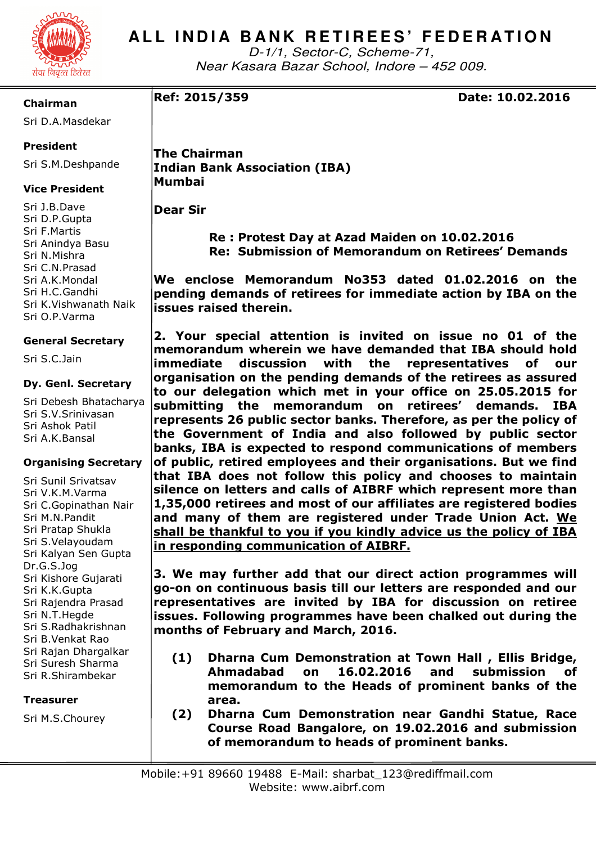

# ALL INDIA BANK RETIREES' FEDERATION

D-1/1, Sector-C, Scheme-71, Near Kasara Bazar School, Indore – 452 009.

# **Chairman**

Sri D.A.Masdekar

# **President**

Sri S.M.Deshpande

## **Vice President**

Sri J.B.Dave Sri D.P.Gupta Sri F.Martis Sri Anindya Basu Sri N.Mishra Sri C.N.Prasad Sri A.K.Mondal Sri H.C.Gandhi Sri K.Vishwanath Naik Sri O.P.Varma

## **General Secretary**

Sri S.C.Jain

### **Dy. Genl. Secretary**

Sri Debesh Bhatacharya Sri S.V.Srinivasan Sri Ashok Patil Sri A.K.Bansal

## **Organising Secretary**

Sri Sunil Srivatsav Sri V.K.M.Varma Sri C.Gopinathan Nair Sri M.N.Pandit Sri Pratap Shukla Sri S.Velayoudam Sri Kalyan Sen Gupta Dr.G.S.Jog Sri Kishore Gujarati Sri K.K.Gupta Sri Rajendra Prasad Sri N.T.Hegde Sri S.Radhakrishnan Sri B.Venkat Rao Sri Rajan Dhargalkar Sri Suresh Sharma Sri R.Shirambekar

## **Treasurer**

Sri M.S.Chourey

**The Chairman Indian Bank Association (IBA) Mumbai** 

**Dear Sir** 

 **Re : Protest Day at Azad Maiden on 10.02.2016 Re: Submission of Memorandum on Retirees' Demands** 

**We enclose Memorandum No353 dated 01.02.2016 on the pending demands of retirees for immediate action by IBA on the issues raised therein.** 

**2. Your special attention is invited on issue no 01 of the memorandum wherein we have demanded that IBA should hold immediate discussion with the representatives of our organisation on the pending demands of the retirees as assured to our delegation which met in your office on 25.05.2015 for submitting the memorandum on retirees' demands. IBA represents 26 public sector banks. Therefore, as per the policy of the Government of India and also followed by public sector banks, IBA is expected to respond communications of members of public, retired employees and their organisations. But we find that IBA does not follow this policy and chooses to maintain silence on letters and calls of AIBRF which represent more than 1,35,000 retirees and most of our affiliates are registered bodies and many of them are registered under Trade Union Act. We shall be thankful to you if you kindly advice us the policy of IBA in responding communication of AIBRF.** 

**3. We may further add that our direct action programmes will go-on on continuous basis till our letters are responded and our representatives are invited by IBA for discussion on retiree issues. Following programmes have been chalked out during the months of February and March, 2016.** 

- **(1) Dharna Cum Demonstration at Town Hall , Ellis Bridge, Ahmadabad on 16.02.2016 and submission of memorandum to the Heads of prominent banks of the area.**
- **(2) Dharna Cum Demonstration near Gandhi Statue, Race Course Road Bangalore, on 19.02.2016 and submission of memorandum to heads of prominent banks.**

**Ref: 2015/359 Date: 10.02.2016**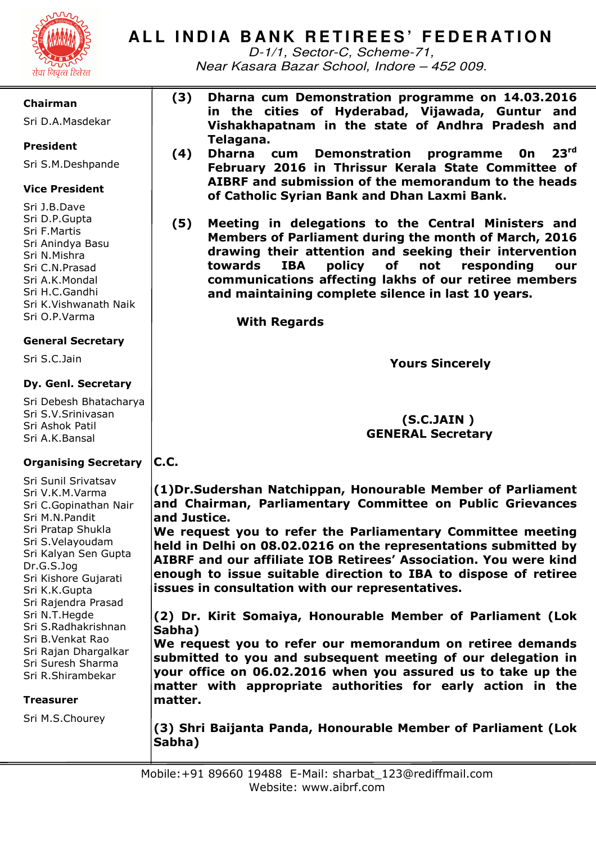

# ALL INDIA BANK RETIREES' FEDERATION

D-1/1, Sector-C, Scheme-71, Near Kasara Bazar School, Indore – 452 009.

### **Chairman**

Sri D.A.Masdekar

# **President**

Sri S.M.Deshpande

# **Vice President**

Sri J.B.Dave Sri D.P.Gupta Sri F.Martis Sri Anindya Basu Sri N.Mishra Sri C.N.Prasad Sri A.K.Mondal Sri H.C.Gandhi Sri K.Vishwanath Naik Sri O.P.Varma

# **General Secretary**

Sri S.C.Jain

# **Dy. Genl. Secretary**

Sri Debesh Bhatacharya Sri S.V.Srinivasan Sri Ashok Patil Sri A.K.Bansal

#### **Organising Secretary C.C.**

Sri Sunil Srivatsav Sri V.K.M.Varma Sri C.Gopinathan Nair Sri M.N.Pandit Sri Pratap Shukla Sri S.Velayoudam Sri Kalyan Sen Gupta Dr.G.S.Jog Sri Kishore Gujarati Sri K.K.Gupta Sri Rajendra Prasad Sri N.T.Hegde Sri S.Radhakrishnan Sri B.Venkat Rao Sri Rajan Dhargalkar Sri Suresh Sharma Sri R.Shirambekar

# **Treasurer**

Sri M.S.Chourey

**(3) Dharna cum Demonstration programme on 14.03.2016 in the cities of Hyderabad, Vijawada, Guntur and Vishakhapatnam in the state of Andhra Pradesh and Telagana.** 

- **(4) Dharna cum Demonstration programme 0n 23rd February 2016 in Thrissur Kerala State Committee of AIBRF and submission of the memorandum to the heads of Catholic Syrian Bank and Dhan Laxmi Bank.**
- **(5) Meeting in delegations to the Central Ministers and Members of Parliament during the month of March, 2016 drawing their attention and seeking their intervention towards IBA policy of not responding our communications affecting lakhs of our retiree members and maintaining complete silence in last 10 years.**

 **With Regards** 

 **Yours Sincerely** 

# **(S.C.JAIN ) GENERAL Secretary**

**(1)Dr.Sudershan Natchippan, Honourable Member of Parliament and Chairman, Parliamentary Committee on Public Grievances and Justice.** 

**We request you to refer the Parliamentary Committee meeting held in Delhi on 08.02.0216 on the representations submitted by AIBRF and our affiliate IOB Retirees' Association. You were kind enough to issue suitable direction to IBA to dispose of retiree issues in consultation with our representatives.** 

**(2) Dr. Kirit Somaiya, Honourable Member of Parliament (Lok Sabha)** 

**We request you to refer our memorandum on retiree demands submitted to you and subsequent meeting of our delegation in your office on 06.02.2016 when you assured us to take up the matter with appropriate authorities for early action in the matter.** 

**(3) Shri Baijanta Panda, Honourable Member of Parliament (Lok Sabha)**